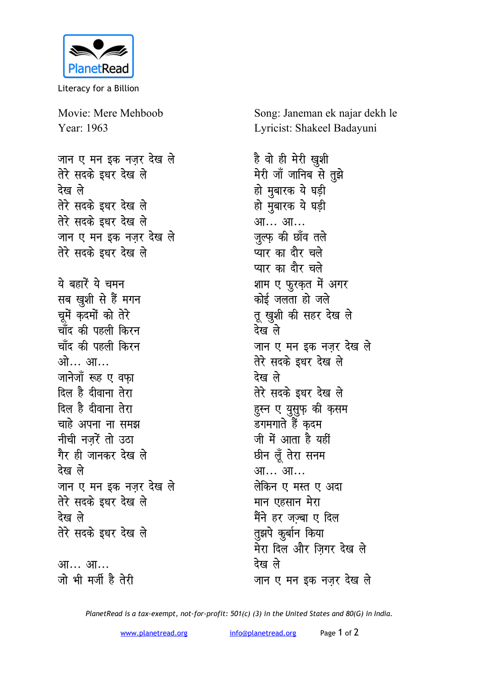

Literacy for a Billion

Movie: Mere Mehboob Year: 1963

जान ए मन इक नजर देख ले तेरे सदके इधर देख ले देख ले तेरे सदके इधर देख ले तेरे सदके इधर देख ले जान ए मन इक नजर देख ले तेरे सदके इधर देख ले ये बहारें ये चमन सब खुशी से हैं मगन चूमें कृदमों को तेरे चाँद की पहली किरन चाँद की पहली किरन ओ... आ... जानेजॉ रूह ए वफा दिल है दीवाना तेरा दिल है दीवाना तेरा चाहे अपना ना समझ नीची नजरें तो उठा गैर ही जानकर देख ले देख ले जान ए मन इक नज़र देख ले तेरे सदके इधर देख ले देख ले तेरे सदके इधर देख ले आ... आ...

जो भी मर्जी है तेरी

Song: Janeman ek najar dekh le Lyricist: Shakeel Badayuni

है वो ही मेरी ख़ुशी मेरी जाँ जानिब से तुझे हो मुबारक ये घड़ी हो मुबारक ये घड़ी आ… आ… जुल्फ़ की छाँव तले प्यार का दौर चले प्यार का दौर चले शाम ए फुरकृत में अगर कोई जलता हो जले तू खुशी की सहर देख ले देख ले जान ए मन इक नजर देख ले तेरे सदके इधर देख ले देख ले तेरे सदके इधर देख ले हुस्न ए युसुफ़ की क़सम डगमगाते हैं कदम जी में आता है यहीं छीन लूँ तेरा सनम आ... आ... लेकिन ए मस्त ए अदा मान एहसान मेरा मैंने हर जज्बा ए दिल तुझपे कुर्बान किया मेरा दिल और जिगर देख ले देख ले जान ए मन इक नजर देख ले

PlanetRead is a tax-exempt, not-for-profit: 501(c) (3) in the United States and 80(G) in India.